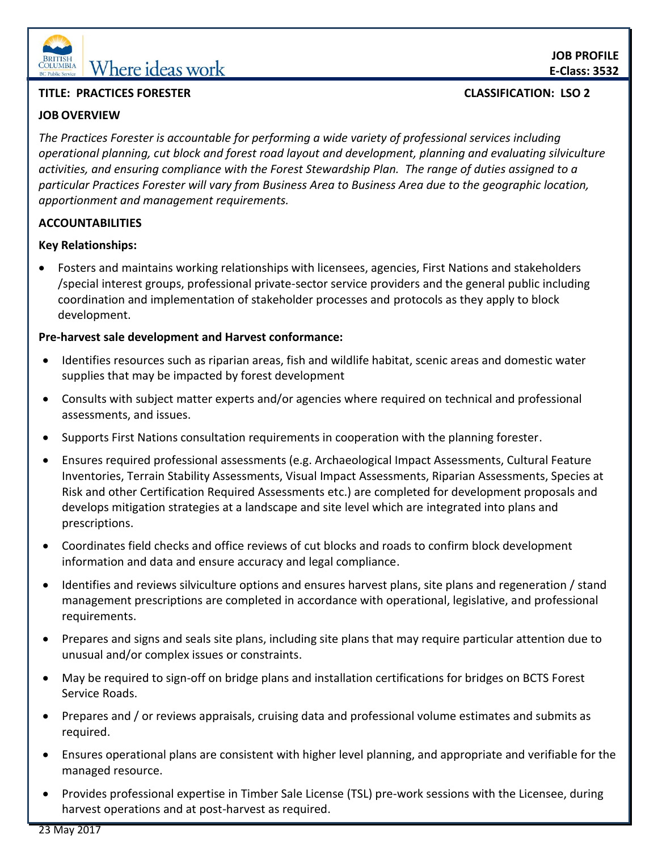

# **EDERITISH** Where ideas work

# **TITLE: PRACTICES FORESTER CLASSIFICATION: LSO 2**

# **JOB OVERVIEW**

*The Practices Forester is accountable for performing a wide variety of professional services including operational planning, cut block and forest road layout and development, planning and evaluating silviculture activities, and ensuring compliance with the Forest Stewardship Plan. The range of duties assigned to a particular Practices Forester will vary from Business Area to Business Area due to the geographic location, apportionment and management requirements.*

## **ACCOUNTABILITIES**

## **Key Relationships:**

 Fosters and maintains working relationships with licensees, agencies, First Nations and stakeholders /special interest groups, professional private-sector service providers and the general public including coordination and implementation of stakeholder processes and protocols as they apply to block development.

## **Pre-harvest sale development and Harvest conformance:**

- Identifies resources such as riparian areas, fish and wildlife habitat, scenic areas and domestic water supplies that may be impacted by forest development
- Consults with subject matter experts and/or agencies where required on technical and professional assessments, and issues.
- Supports First Nations consultation requirements in cooperation with the planning forester.
- Ensures required professional assessments (e.g. Archaeological Impact Assessments, Cultural Feature Inventories, Terrain Stability Assessments, Visual Impact Assessments, Riparian Assessments, Species at Risk and other Certification Required Assessments etc.) are completed for development proposals and develops mitigation strategies at a landscape and site level which are integrated into plans and prescriptions.
- Coordinates field checks and office reviews of cut blocks and roads to confirm block development information and data and ensure accuracy and legal compliance.
- Identifies and reviews silviculture options and ensures harvest plans, site plans and regeneration / stand management prescriptions are completed in accordance with operational, legislative, and professional requirements.
- Prepares and signs and seals site plans, including site plans that may require particular attention due to unusual and/or complex issues or constraints.
- May be required to sign-off on bridge plans and installation certifications for bridges on BCTS Forest Service Roads.
- Prepares and / or reviews appraisals, cruising data and professional volume estimates and submits as required.
- Ensures operational plans are consistent with higher level planning, and appropriate and verifiable for the managed resource.
- Provides professional expertise in Timber Sale License (TSL) pre-work sessions with the Licensee, during harvest operations and at post-harvest as required.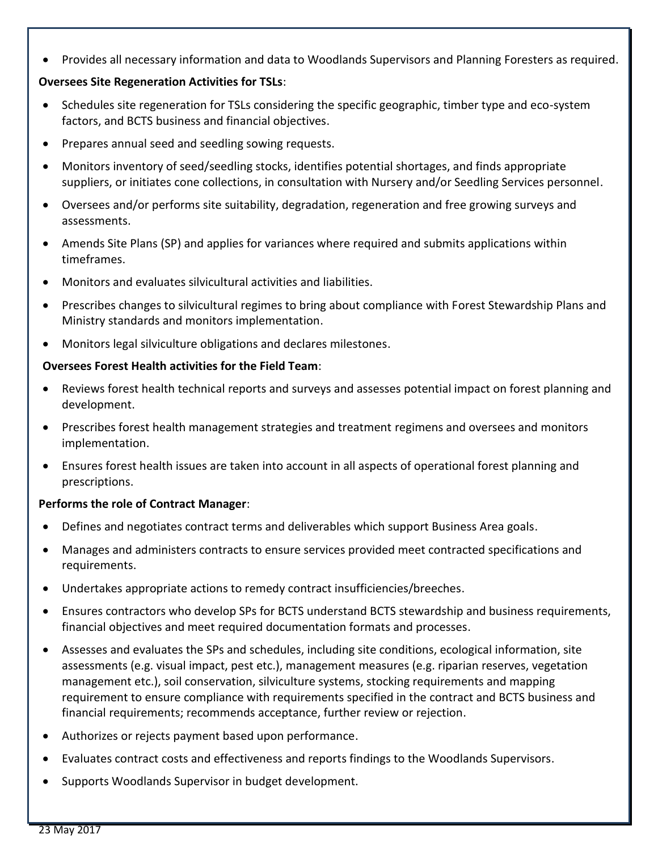Provides all necessary information and data to Woodlands Supervisors and Planning Foresters as required.

## **Oversees Site Regeneration Activities for TSLs**:

- Schedules site regeneration for TSLs considering the specific geographic, timber type and eco-system factors, and BCTS business and financial objectives.
- Prepares annual seed and seedling sowing requests.
- Monitors inventory of seed/seedling stocks, identifies potential shortages, and finds appropriate suppliers, or initiates cone collections, in consultation with Nursery and/or Seedling Services personnel.
- Oversees and/or performs site suitability, degradation, regeneration and free growing surveys and assessments.
- Amends Site Plans (SP) and applies for variances where required and submits applications within timeframes.
- Monitors and evaluates silvicultural activities and liabilities.
- Prescribes changes to silvicultural regimes to bring about compliance with Forest Stewardship Plans and Ministry standards and monitors implementation.
- Monitors legal silviculture obligations and declares milestones.

#### **Oversees Forest Health activities for the Field Team**:

- Reviews forest health technical reports and surveys and assesses potential impact on forest planning and development.
- Prescribes forest health management strategies and treatment regimens and oversees and monitors implementation.
- Ensures forest health issues are taken into account in all aspects of operational forest planning and prescriptions.

#### **Performs the role of Contract Manager**:

- Defines and negotiates contract terms and deliverables which support Business Area goals.
- Manages and administers contracts to ensure services provided meet contracted specifications and requirements.
- Undertakes appropriate actions to remedy contract insufficiencies/breeches.
- Ensures contractors who develop SPs for BCTS understand BCTS stewardship and business requirements, financial objectives and meet required documentation formats and processes.
- Assesses and evaluates the SPs and schedules, including site conditions, ecological information, site assessments (e.g. visual impact, pest etc.), management measures (e.g. riparian reserves, vegetation management etc.), soil conservation, silviculture systems, stocking requirements and mapping requirement to ensure compliance with requirements specified in the contract and BCTS business and financial requirements; recommends acceptance, further review or rejection.
- Authorizes or rejects payment based upon performance.
- Evaluates contract costs and effectiveness and reports findings to the Woodlands Supervisors.
- Supports Woodlands Supervisor in budget development.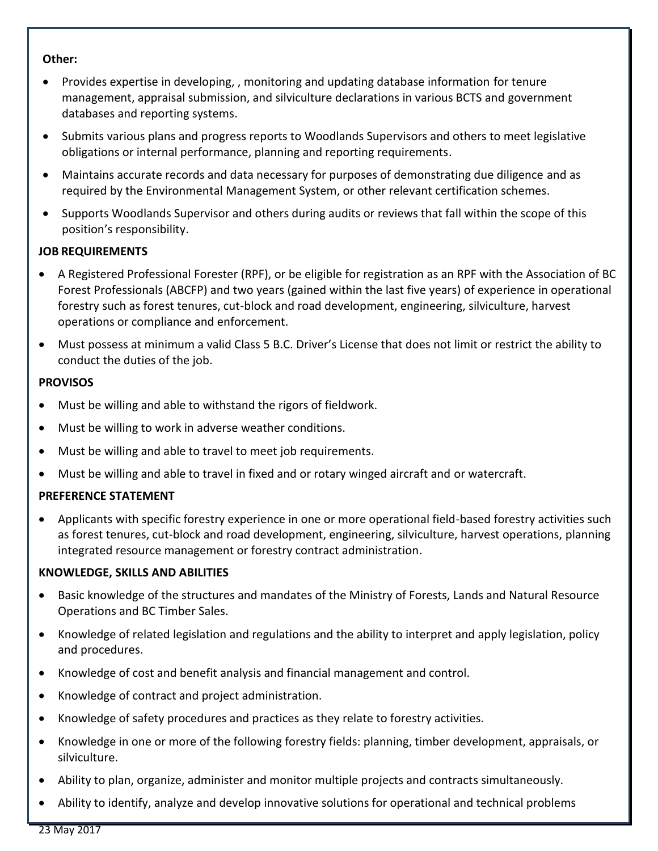#### **Other:**

- Provides expertise in developing, , monitoring and updating database information for tenure management, appraisal submission, and silviculture declarations in various BCTS and government databases and reporting systems.
- Submits various plans and progress reports to Woodlands Supervisors and others to meet legislative obligations or internal performance, planning and reporting requirements.
- Maintains accurate records and data necessary for purposes of demonstrating due diligence and as required by the Environmental Management System, or other relevant certification schemes.
- Supports Woodlands Supervisor and others during audits or reviews that fall within the scope of this position's responsibility.

## **JOB REQUIREMENTS**

- A Registered Professional Forester (RPF), or be eligible for registration as an RPF with the Association of BC Forest Professionals (ABCFP) and two years (gained within the last five years) of experience in operational forestry such as forest tenures, cut-block and road development, engineering, silviculture, harvest operations or compliance and enforcement.
- Must possess at minimum a valid Class 5 B.C. Driver's License that does not limit or restrict the ability to conduct the duties of the job.

#### **PROVISOS**

- Must be willing and able to withstand the rigors of fieldwork.
- Must be willing to work in adverse weather conditions.
- Must be willing and able to travel to meet job requirements.
- Must be willing and able to travel in fixed and or rotary winged aircraft and or watercraft.

## **PREFERENCE STATEMENT**

 Applicants with specific forestry experience in one or more operational field-based forestry activities such as forest tenures, cut-block and road development, engineering, silviculture, harvest operations, planning integrated resource management or forestry contract administration.

#### **KNOWLEDGE, SKILLS AND ABILITIES**

- Basic knowledge of the structures and mandates of the Ministry of Forests, Lands and Natural Resource Operations and BC Timber Sales.
- Knowledge of related legislation and regulations and the ability to interpret and apply legislation, policy and procedures.
- Knowledge of cost and benefit analysis and financial management and control.
- Knowledge of contract and project administration.
- Knowledge of safety procedures and practices as they relate to forestry activities.
- Knowledge in one or more of the following forestry fields: planning, timber development, appraisals, or silviculture.
- Ability to plan, organize, administer and monitor multiple projects and contracts simultaneously.
- Ability to identify, analyze and develop innovative solutions for operational and technical problems